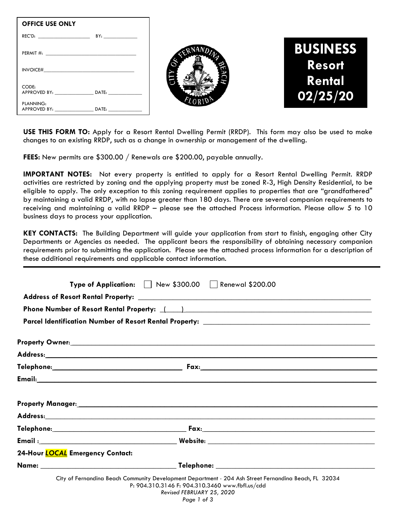| <b>OFFICE USE ONLY</b>                                                                                                                                                                                                                                                                                                                                                                                                                                                               |     |
|--------------------------------------------------------------------------------------------------------------------------------------------------------------------------------------------------------------------------------------------------------------------------------------------------------------------------------------------------------------------------------------------------------------------------------------------------------------------------------------|-----|
| REC'D:                                                                                                                                                                                                                                                                                                                                                                                                                                                                               | BY: |
|                                                                                                                                                                                                                                                                                                                                                                                                                                                                                      |     |
| $INVOICE# \begin{tabular}{@{}c@{}} \hline \multicolumn{3}{c}{} & \multicolumn{3}{c}{} & \multicolumn{3}{c}{} & \multicolumn{3}{c}{} \\ \multicolumn{3}{c}{} & \multicolumn{3}{c}{} & \multicolumn{3}{c}{} & \multicolumn{3}{c}{} \\ \multicolumn{3}{c}{} & \multicolumn{3}{c}{} & \multicolumn{3}{c}{} & \multicolumn{3}{c}{} \\ \multicolumn{3}{c}{} & \multicolumn{3}{c}{} & \multicolumn{3}{c}{} & \multicolumn{3}{c}{} \\ \multicolumn{3}{c}{} & \multicolumn{3}{c}{} & \multic$ |     |
| CODE:<br>APPROVED BY: DATE:                                                                                                                                                                                                                                                                                                                                                                                                                                                          |     |
| PLANNING:<br>APPROVED BY: DATE:                                                                                                                                                                                                                                                                                                                                                                                                                                                      |     |





**USE THIS FORM TO:** Apply for a Resort Rental Dwelling Permit (RRDP). This form may also be used to make changes to an existing RRDP, such as a change in ownership or management of the dwelling.

**FEES:** New permits are \$300.00 / Renewals are \$200.00, payable annually.

**IMPORTANT NOTES:** Not every property is entitled to apply for a Resort Rental Dwelling Permit. RRDP activities are restricted by zoning and the applying property must be zoned R-3, High Density Residential, to be eligible to apply. The only exception to this zoning requirement applies to properties that are "grandfathered" by maintaining a valid RRDP, with no lapse greater than 180 days. There are several companion requirements to receiving and maintaining a valid RRDP – please see the attached Process information. Please allow 5 to 10 business days to process your application.

**KEY CONTACTS:** The Building Department will guide your application from start to finish, engaging other City Departments or Agencies as needed. The applicant bears the responsibility of obtaining necessary companion requirements prior to submitting the application. Please see the attached process information for a description of these additional requirements and applicable contact information.

|                                         | Type of Application: Mew \$300.00 Renewal \$200.00                                                                                                                                                                                   |
|-----------------------------------------|--------------------------------------------------------------------------------------------------------------------------------------------------------------------------------------------------------------------------------------|
|                                         |                                                                                                                                                                                                                                      |
|                                         | Phone Number of Resort Rental Property: \(\essimilar ) \essential Contract Control Control (\essimilar Control Control Control Control Control Control Control Control Control Control Control Control Control Control Control       |
|                                         |                                                                                                                                                                                                                                      |
|                                         | Property Owner: <u>All and State and State and State and State and State and State and State and State and State and State and State and State and State and State and State and State and State and State and State and State a</u> |
|                                         |                                                                                                                                                                                                                                      |
|                                         |                                                                                                                                                                                                                                      |
|                                         |                                                                                                                                                                                                                                      |
|                                         |                                                                                                                                                                                                                                      |
|                                         |                                                                                                                                                                                                                                      |
|                                         |                                                                                                                                                                                                                                      |
|                                         |                                                                                                                                                                                                                                      |
| 24-Hour <b>LOCAL</b> Emergency Contact: |                                                                                                                                                                                                                                      |
|                                         |                                                                                                                                                                                                                                      |

| P: 904.310.3146 F: 904.310.3460 www.fbfl.us/cdd |  |
|-------------------------------------------------|--|
| $D_1, \ldots, D_n$ EEDDIJADV OF 0000            |  |

*Revised FEBRUARY 25, 2020 Page 1 of 3*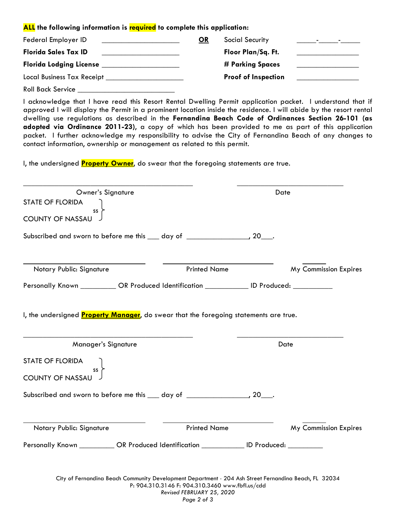## **ALL the following information is required to complete this application:**

| Federal Employer ID               | OR | <b>Social Security</b>     | <b>Contract Contract</b><br><u> 1999 - Tan</u> |
|-----------------------------------|----|----------------------------|------------------------------------------------|
| <b>Florida Sales Tax ID</b>       |    | Floor Plan/Sq. Ft.         |                                                |
| <b>Florida Lodging License</b>    |    | # Parking Spaces           |                                                |
| <b>Local Business Tax Receipt</b> |    | <b>Proof of Inspection</b> |                                                |

Roll Back Service \_\_\_\_\_\_\_\_\_\_\_\_\_\_\_\_\_\_\_\_\_\_\_\_\_

I acknowledge that I have read this Resort Rental Dwelling Permit application packet. I understand that if approved I will display the Permit in a prominent location inside the residence. I will abide by the resort rental dwelling use regulations as described in the **Fernandina Beach Code of Ordinances Section 26-101 (as adopted via Ordinance 2011-23)**, a copy of which has been provided to me as part of this application packet. I further acknowledge my responsibility to advise the City of Fernandina Beach of any changes to contact information, ownership or management as related to this permit.

I, the undersigned **Property Owner**, do swear that the foregoing statements are true.

| Owner's Signature<br><b>STATE OF FLORIDA</b>                                                   |                                                                                                                                                          | Date                  |
|------------------------------------------------------------------------------------------------|----------------------------------------------------------------------------------------------------------------------------------------------------------|-----------------------|
| SS<br><b>COUNTY OF NASSAU</b>                                                                  |                                                                                                                                                          |                       |
| Subscribed and sworn to before me this 100 day of 100 minution 20 minution.                    |                                                                                                                                                          |                       |
| Notary Public: Signature                                                                       | <b>Printed Name</b>                                                                                                                                      | My Commission Expires |
| Personally Known ____________ OR Produced Identification ____________ ID Produced: ___________ |                                                                                                                                                          |                       |
| I, the undersigned Property Manager, do swear that the foregoing statements are true.          |                                                                                                                                                          |                       |
| Manager's Signature                                                                            |                                                                                                                                                          | Date                  |
| <b>STATE OF FLORIDA</b><br>SS<br><b>COUNTY OF NASSAU</b>                                       |                                                                                                                                                          |                       |
| Subscribed and sworn to before me this ___ day of _________________, 20___.                    |                                                                                                                                                          |                       |
| Notary Public: Signature                                                                       | <b>Printed Name</b>                                                                                                                                      | My Commission Expires |
| Personally Known ___________ OR Produced Identification ____________ ID Produced: _________    |                                                                                                                                                          |                       |
|                                                                                                |                                                                                                                                                          |                       |
|                                                                                                | City of Fernandina Beach Community Development Department · 204 Ash Street Fernandina Beach, FL 32034<br>P: 904.310.3146 F: 904.310.3460 www.fbfl.us/cdd |                       |

*Revised FEBRUARY 25, 2020*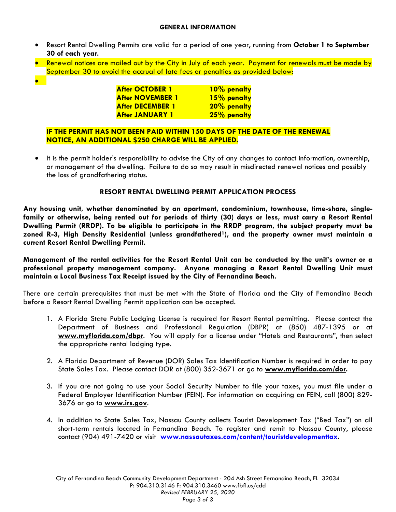## **GENERAL INFORMATION**

- Resort Rental Dwelling Permits are valid for a period of one year, running from **October 1 to September 30 of each year.**
- Renewal notices are mailed out by the City in July of each year. Payment for renewals must be made by September 30 to avoid the accrual of late fees or penalties as provided below:
- $\bullet$

| <b>After OCTOBER 1</b>  | 10% penalty |
|-------------------------|-------------|
| <b>After NOVEMBER 1</b> | 15% penalty |
| <b>After DECEMBER 1</b> | 20% penalty |
| <b>After JANUARY 1</b>  | 25% penalty |

## **IF THE PERMIT HAS NOT BEEN PAID WITHIN 150 DAYS OF THE DATE OF THE RENEWAL NOTICE, AN ADDITIONAL \$250 CHARGE WILL BE APPLIED.**

 It is the permit holder's responsibility to advise the City of any changes to contact information, ownership, or management of the dwelling. Failure to do so may result in misdirected renewal notices and possibly the loss of grandfathering status.

## **RESORT RENTAL DWELLING PERMIT APPLICATION PROCESS**

**Any housing unit, whether denominated by an apartment, condominium, townhouse, time-share, singlefamily or otherwise, being rented out for periods of thirty (30) days or less, must carry a Resort Rental Dwelling Permit (RRDP). To be eligible to participate in the RRDP program, the subject property must be**  zoned R-3, High Density Residential (unless grandfathered<sup>1</sup>), and the property owner must maintain a **current Resort Rental Dwelling Permit.** 

**Management of the rental activities for the Resort Rental Unit can be conducted by the unit's owner or a professional property management company. Anyone managing a Resort Rental Dwelling Unit must maintain a Local Business Tax Receipt issued by the City of Fernandina Beach.** 

There are certain prerequisites that must be met with the State of Florida and the City of Fernandina Beach before a Resort Rental Dwelling Permit application can be accepted.

- 1. A Florida State Public Lodging License is required for Resort Rental permitting. Please contact the Department of Business and Professional Regulation (DBPR) at (850) 487-1395 or at **www.myflorida.com/dbpr**. You will apply for a license under "Hotels and Restaurants", then select the appropriate rental lodging type.
- 2. A Florida Department of Revenue (DOR) Sales Tax Identification Number is required in order to pay State Sales Tax. Please contact DOR at (800) 352-3671 or go to **www.myflorida.com/dor.**
- 3. If you are not going to use your Social Security Number to file your taxes, you must file under a Federal Employer Identification Number (FEIN). For information on acquiring an FEIN, call (800) 829- 3676 or go to **www.irs.gov**.
- 4. In addition to State Sales Tax, Nassau County collects Tourist Development Tax ("Bed Tax") on all short-term rentals located in Fernandina Beach. To register and remit to Nassau County, please contact (904) 491-7420 or visit **www.nassautaxes.com/content/touristdevelopmenttax.**